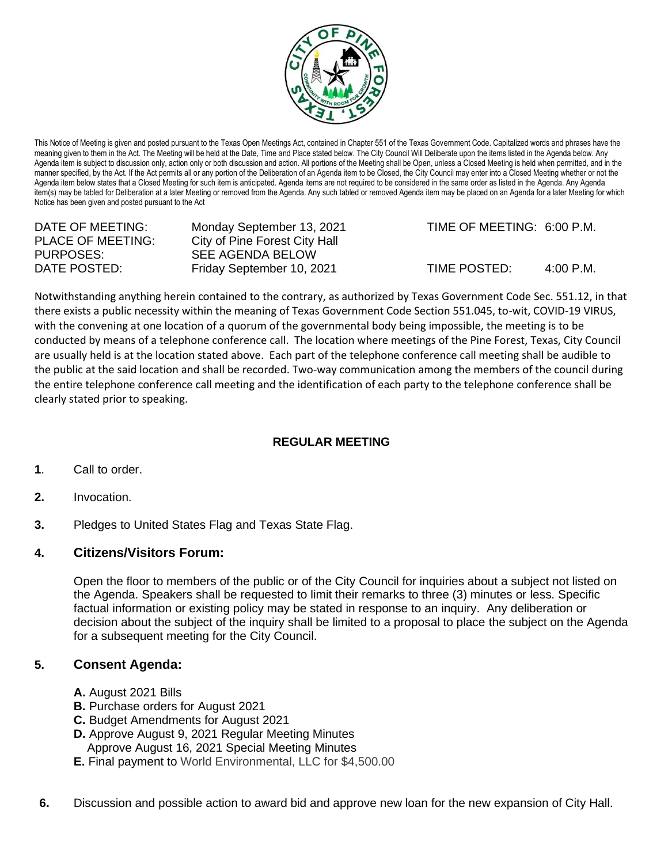

This Notice of Meeting is given and posted pursuant to the Texas Open Meetings Act, contained in Chapter 551 of the Texas Government Code. Capitalized words and phrases have the meaning given to them in the Act. The Meeting will be held at the Date, Time and Place stated below. The City Council Will Deliberate upon the items listed in the Agenda below. Any Agenda item is subject to discussion only, action only or both discussion and action. All portions of the Meeting shall be Open, unless a Closed Meeting is held when permitted, and in the manner specified, by the Act. If the Act permits all or any portion of the Deliberation of an Agenda item to be Closed, the City Council may enter into a Closed Meeting whether or not the Agenda item below states that a Closed Meeting for such item is anticipated. Agenda items are not required to be considered in the same order as listed in the Agenda. Any Agenda item(s) may be tabled for Deliberation at a later Meeting or removed from the Agenda. Any such tabled or removed Agenda item may be placed on an Agenda for a later Meeting for which Notice has been given and posted pursuant to the Act

| DATE OF MEETING:  | Monday September 13, 2021     |
|-------------------|-------------------------------|
| PLACE OF MEETING: | City of Pine Forest City Hall |
| PURPOSES:         | SEE AGENDA BELOW              |
| DATE POSTED:      | Friday September 10, 2021     |

TIME OF MEETING: 6:00 P.M.

 $TIME$  POSTED:  $4:00$  P.M.

Notwithstanding anything herein contained to the contrary, as authorized by Texas Government Code Sec. 551.12, in that there exists a public necessity within the meaning of Texas Government Code Section 551.045, to-wit, COVID-19 VIRUS, with the convening at one location of a quorum of the governmental body being impossible, the meeting is to be conducted by means of a telephone conference call. The location where meetings of the Pine Forest, Texas, City Council are usually held is at the location stated above. Each part of the telephone conference call meeting shall be audible to the public at the said location and shall be recorded. Two-way communication among the members of the council during the entire telephone conference call meeting and the identification of each party to the telephone conference shall be clearly stated prior to speaking.

## **REGULAR MEETING**

- **1**. Call to order.
- **2.** Invocation.
- **3.** Pledges to United States Flag and Texas State Flag.

## **4. Citizens/Visitors Forum:**

Open the floor to members of the public or of the City Council for inquiries about a subject not listed on the Agenda. Speakers shall be requested to limit their remarks to three (3) minutes or less. Specific factual information or existing policy may be stated in response to an inquiry. Any deliberation or decision about the subject of the inquiry shall be limited to a proposal to place the subject on the Agenda for a subsequent meeting for the City Council.

## **5. Consent Agenda:**

- **A.** August 2021 Bills
- **B.** Purchase orders for August 2021
- **C.** Budget Amendments for August 2021
- **D.** Approve August 9, 2021 Regular Meeting Minutes Approve August 16, 2021 Special Meeting Minutes
- **E.** Final payment to World Environmental, LLC for \$4,500.00
- **6.** Discussion and possible action to award bid and approve new loan for the new expansion of City Hall.